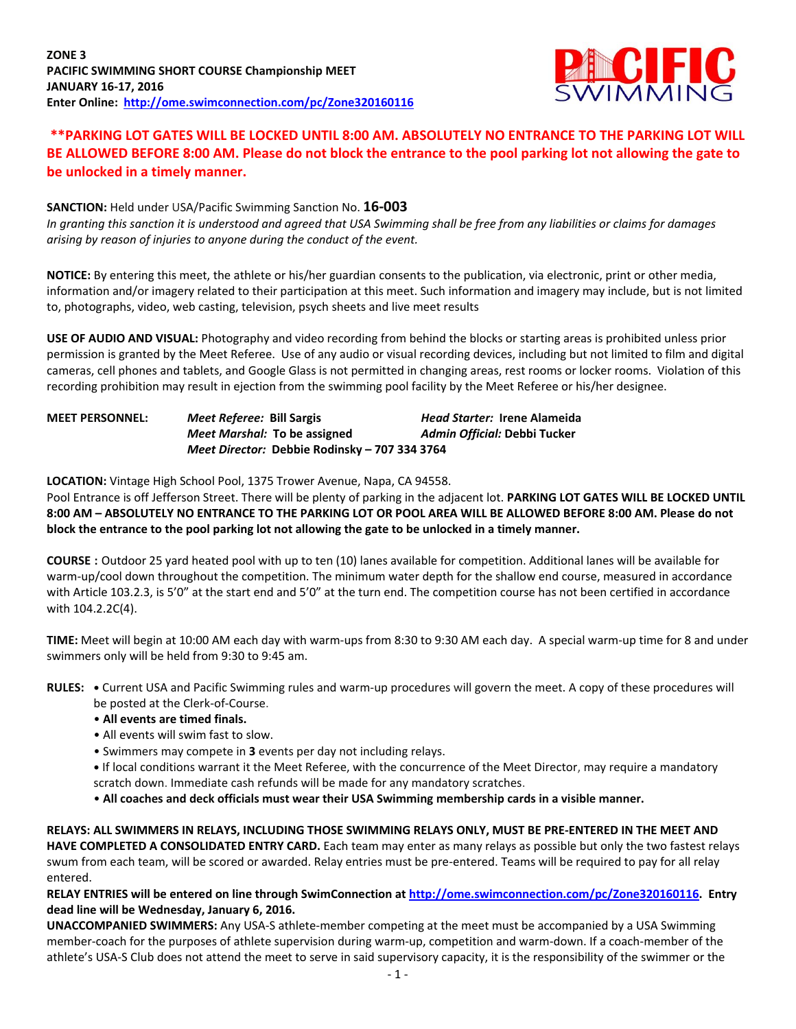

# **\*\*PARKING LOT GATES WILL BE LOCKED UNTIL 8:00 AM. ABSOLUTELY NO ENTRANCE TO THE PARKING LOT WILL BE ALLOWED BEFORE 8:00 AM. Please do not block the entrance to the pool parking lot not allowing the gate to be unlocked in a timely manner.**

#### **SANCTION:** Held under USA/Pacific Swimming Sanction No. **16-003**

*In granting this sanction it is understood and agreed that USA Swimming shall be free from any liabilities or claims for damages arising by reason of injuries to anyone during the conduct of the event.*

**NOTICE:** By entering this meet, the athlete or his/her guardian consents to the publication, via electronic, print or other media, information and/or imagery related to their participation at this meet. Such information and imagery may include, but is not limited to, photographs, video, web casting, television, psych sheets and live meet results

**USE OF AUDIO AND VISUAL:** Photography and video recording from behind the blocks or starting areas is prohibited unless prior permission is granted by the Meet Referee. Use of any audio or visual recording devices, including but not limited to film and digital cameras, cell phones and tablets, and Google Glass is not permitted in changing areas, rest rooms or locker rooms. Violation of this recording prohibition may result in ejection from the swimming pool facility by the Meet Referee or his/her designee.

| <b>MEET PERSONNEL:</b> | Meet Referee: Bill Sargis    |                                               | <b>Head Starter: Irene Alameida</b> |
|------------------------|------------------------------|-----------------------------------------------|-------------------------------------|
|                        | Meet Marshal: To be assigned |                                               | Admin Official: Debbi Tucker        |
|                        |                              | Meet Director: Debbie Rodinsky - 707 334 3764 |                                     |

**LOCATION:** Vintage High School Pool, 1375 Trower Avenue, Napa, CA 94558.

Pool Entrance is off Jefferson Street. There will be plenty of parking in the adjacent lot. **PARKING LOT GATES WILL BE LOCKED UNTIL 8:00 AM – ABSOLUTELY NO ENTRANCE TO THE PARKING LOT OR POOL AREA WILL BE ALLOWED BEFORE 8:00 AM. Please do not block the entrance to the pool parking lot not allowing the gate to be unlocked in a timely manner.**

**COURSE :** Outdoor 25 yard heated pool with up to ten (10) lanes available for competition. Additional lanes will be available for warm-up/cool down throughout the competition. The minimum water depth for the shallow end course, measured in accordance with Article 103.2.3, is 5'0" at the start end and 5'0" at the turn end. The competition course has not been certified in accordance with 104.2.2C(4).

**TIME:** Meet will begin at 10:00 AM each day with warm-ups from 8:30 to 9:30 AM each day. A special warm-up time for 8 and under swimmers only will be held from 9:30 to 9:45 am.

**RULES: •** Current USA and Pacific Swimming rules and warm-up procedures will govern the meet. A copy of these procedures will be posted at the Clerk-of-Course.

- **All events are timed finals.**
- All events will swim fast to slow.
- Swimmers may compete in **3** events per day not including relays.
- **•** If local conditions warrant it the Meet Referee, with the concurrence of the Meet Director, may require a mandatory scratch down. Immediate cash refunds will be made for any mandatory scratches.
- **All coaches and deck officials must wear their USA Swimming membership cards in a visible manner.**

**RELAYS: ALL SWIMMERS IN RELAYS, INCLUDING THOSE SWIMMING RELAYS ONLY, MUST BE PRE-ENTERED IN THE MEET AND HAVE COMPLETED A CONSOLIDATED ENTRY CARD.** Each team may enter as many relays as possible but only the two fastest relays swum from each team, will be scored or awarded. Relay entries must be pre-entered. Teams will be required to pay for all relay entered.

**RELAY ENTRIES will be entered on line through SwimConnection a[t http://ome.swimconnection.com/pc/Zone320160116.](http://ome.swimconnection.com/pc/Zone320160116) Entry dead line will be Wednesday, January 6, 2016.**

**UNACCOMPANIED SWIMMERS:** Any USA-S athlete-member competing at the meet must be accompanied by a USA Swimming member-coach for the purposes of athlete supervision during warm-up, competition and warm-down. If a coach-member of the athlete's USA-S Club does not attend the meet to serve in said supervisory capacity, it is the responsibility of the swimmer or the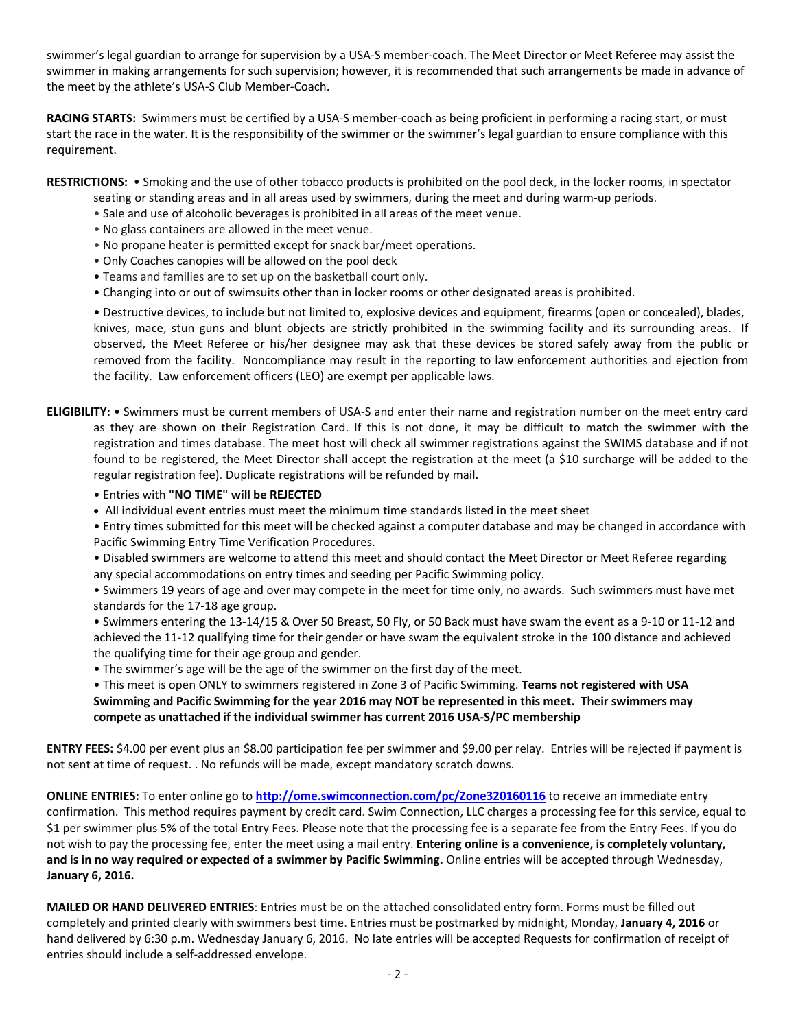swimmer's legal guardian to arrange for supervision by a USA-S member-coach. The Meet Director or Meet Referee may assist the swimmer in making arrangements for such supervision; however, it is recommended that such arrangements be made in advance of the meet by the athlete's USA-S Club Member-Coach.

**RACING STARTS:** Swimmers must be certified by a USA-S member-coach as being proficient in performing a racing start, or must start the race in the water. It is the responsibility of the swimmer or the swimmer's legal guardian to ensure compliance with this requirement.

**RESTRICTIONS:** • Smoking and the use of other tobacco products is prohibited on the pool deck, in the locker rooms, in spectator

- seating or standing areas and in all areas used by swimmers, during the meet and during warm-up periods.
- Sale and use of alcoholic beverages is prohibited in all areas of the meet venue.
- No glass containers are allowed in the meet venue.
- No propane heater is permitted except for snack bar/meet operations.
- Only Coaches canopies will be allowed on the pool deck
- Teams and families are to set up on the basketball court only.
- Changing into or out of swimsuits other than in locker rooms or other designated areas is prohibited.

• Destructive devices, to include but not limited to, explosive devices and equipment, firearms (open or concealed), blades, knives, mace, stun guns and blunt objects are strictly prohibited in the swimming facility and its surrounding areas. If observed, the Meet Referee or his/her designee may ask that these devices be stored safely away from the public or removed from the facility. Noncompliance may result in the reporting to law enforcement authorities and ejection from the facility. Law enforcement officers (LEO) are exempt per applicable laws.

- **ELIGIBILITY:** Swimmers must be current members of USA-S and enter their name and registration number on the meet entry card as they are shown on their Registration Card. If this is not done, it may be difficult to match the swimmer with the registration and times database. The meet host will check all swimmer registrations against the SWIMS database and if not found to be registered, the Meet Director shall accept the registration at the meet (a \$10 surcharge will be added to the regular registration fee). Duplicate registrations will be refunded by mail.
	- Entries with **"NO TIME" will be REJECTED**
	- All individual event entries must meet the minimum time standards listed in the meet sheet
	- Entry times submitted for this meet will be checked against a computer database and may be changed in accordance with Pacific Swimming Entry Time Verification Procedures.
	- Disabled swimmers are welcome to attend this meet and should contact the Meet Director or Meet Referee regarding any special accommodations on entry times and seeding per Pacific Swimming policy.
	- Swimmers 19 years of age and over may compete in the meet for time only, no awards. Such swimmers must have met standards for the 17-18 age group.
	- Swimmers entering the 13-14/15 & Over 50 Breast, 50 Fly, or 50 Back must have swam the event as a 9-10 or 11-12 and achieved the 11-12 qualifying time for their gender or have swam the equivalent stroke in the 100 distance and achieved the qualifying time for their age group and gender.
	- The swimmer's age will be the age of the swimmer on the first day of the meet.

• This meet is open ONLY to swimmers registered in Zone 3 of Pacific Swimming. **Teams not registered with USA Swimming and Pacific Swimming for the year 2016 may NOT be represented in this meet. Their swimmers may compete as unattached if the individual swimmer has current 2016 USA-S/PC membership**

**ENTRY FEES:** \$4.00 per event plus an \$8.00 participation fee per swimmer and \$9.00 per relay. Entries will be rejected if payment is not sent at time of request. . No refunds will be made, except mandatory scratch downs.

**ONLINE ENTRIES:** To enter online go to **<http://ome.swimconnection.com/pc/Zone320160116>** to receive an immediate entry confirmation. This method requires payment by credit card. Swim Connection, LLC charges a processing fee for this service, equal to \$1 per swimmer plus 5% of the total Entry Fees. Please note that the processing fee is a separate fee from the Entry Fees. If you do not wish to pay the processing fee, enter the meet using a mail entry. **Entering online is a convenience, is completely voluntary, and is in no way required or expected of a swimmer by Pacific Swimming.** Online entries will be accepted through Wednesday, **January 6, 2016.**

**MAILED OR HAND DELIVERED ENTRIES**: Entries must be on the attached consolidated entry form. Forms must be filled out completely and printed clearly with swimmers best time. Entries must be postmarked by midnight, Monday, **January 4, 2016** or hand delivered by 6:30 p.m. Wednesday January 6, 2016. No late entries will be accepted Requests for confirmation of receipt of entries should include a self-addressed envelope.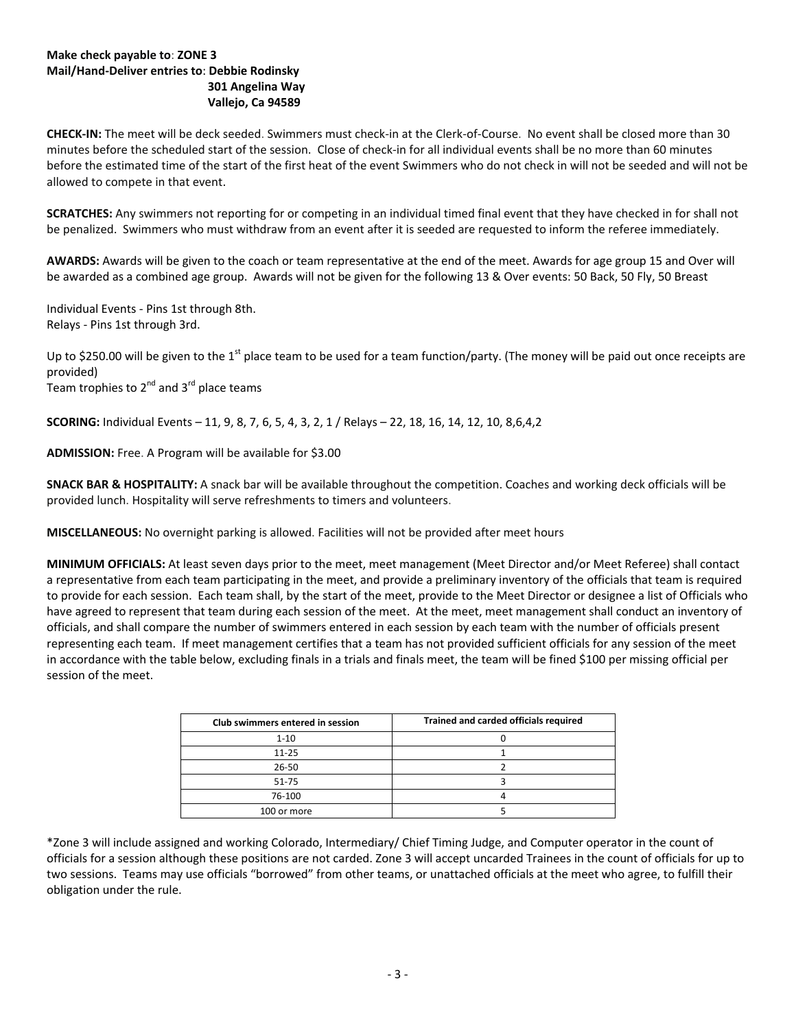#### **Make check payable to**: **ZONE 3 Mail/Hand-Deliver entries to**: **Debbie Rodinsky 301 Angelina Way Vallejo, Ca 94589**

**CHECK-IN:** The meet will be deck seeded. Swimmers must check-in at the Clerk-of-Course. No event shall be closed more than 30 minutes before the scheduled start of the session. Close of check-in for all individual events shall be no more than 60 minutes before the estimated time of the start of the first heat of the event Swimmers who do not check in will not be seeded and will not be allowed to compete in that event.

**SCRATCHES:** Any swimmers not reporting for or competing in an individual timed final event that they have checked in for shall not be penalized. Swimmers who must withdraw from an event after it is seeded are requested to inform the referee immediately.

**AWARDS:** Awards will be given to the coach or team representative at the end of the meet. Awards for age group 15 and Over will be awarded as a combined age group. Awards will not be given for the following 13 & Over events: 50 Back, 50 Fly, 50 Breast

Individual Events - Pins 1st through 8th. Relays - Pins 1st through 3rd.

Up to \$250.00 will be given to the 1<sup>st</sup> place team to be used for a team function/party. (The money will be paid out once receipts are provided)

Team trophies to  $2^{nd}$  and  $3^{rd}$  place teams

**SCORING:** Individual Events – 11, 9, 8, 7, 6, 5, 4, 3, 2, 1 / Relays – 22, 18, 16, 14, 12, 10, 8,6,4,2

**ADMISSION:** Free. A Program will be available for \$3.00

**SNACK BAR & HOSPITALITY:** A snack bar will be available throughout the competition. Coaches and working deck officials will be provided lunch. Hospitality will serve refreshments to timers and volunteers.

**MISCELLANEOUS:** No overnight parking is allowed. Facilities will not be provided after meet hours

**MINIMUM OFFICIALS:** At least seven days prior to the meet, meet management (Meet Director and/or Meet Referee) shall contact a representative from each team participating in the meet, and provide a preliminary inventory of the officials that team is required to provide for each session. Each team shall, by the start of the meet, provide to the Meet Director or designee a list of Officials who have agreed to represent that team during each session of the meet. At the meet, meet management shall conduct an inventory of officials, and shall compare the number of swimmers entered in each session by each team with the number of officials present representing each team. If meet management certifies that a team has not provided sufficient officials for any session of the meet in accordance with the table below, excluding finals in a trials and finals meet, the team will be fined \$100 per missing official per session of the meet.

| Club swimmers entered in session | Trained and carded officials required |
|----------------------------------|---------------------------------------|
| $1 - 10$                         |                                       |
| $11 - 25$                        |                                       |
| $26 - 50$                        |                                       |
| $51 - 75$                        |                                       |
| 76-100                           |                                       |
| 100 or more                      |                                       |

\*Zone 3 will include assigned and working Colorado, Intermediary/ Chief Timing Judge, and Computer operator in the count of officials for a session although these positions are not carded. Zone 3 will accept uncarded Trainees in the count of officials for up to two sessions. Teams may use officials "borrowed" from other teams, or unattached officials at the meet who agree, to fulfill their obligation under the rule.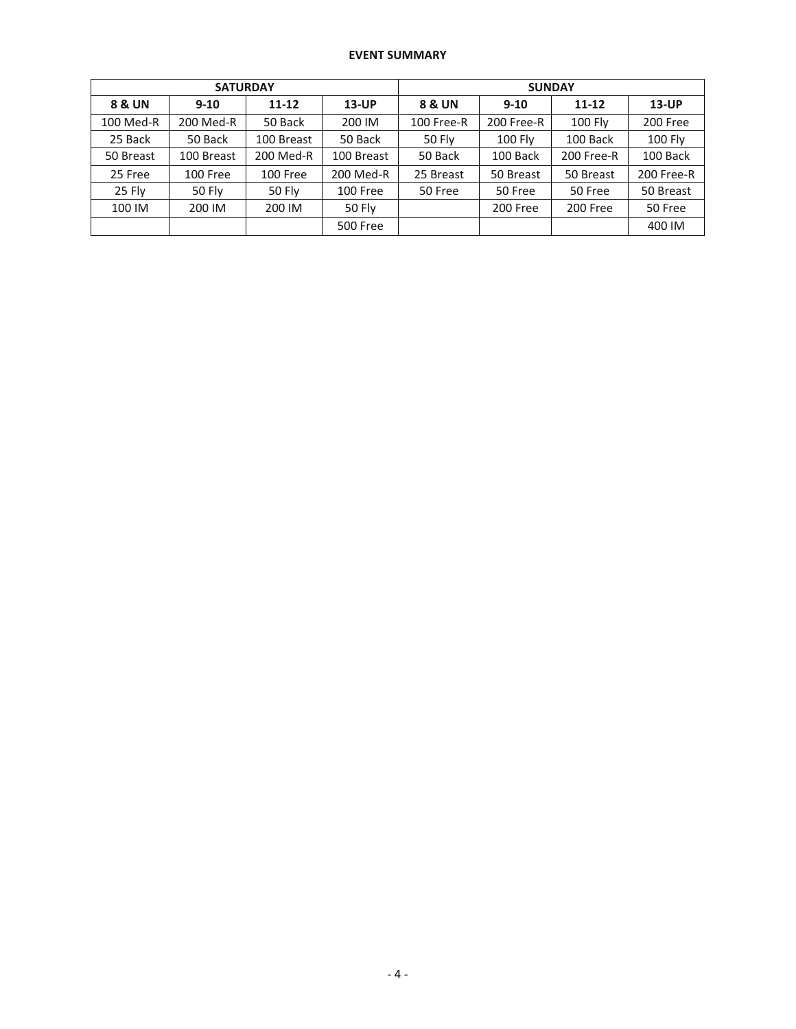### **EVENT SUMMARY**

|           | <b>SATURDAY</b> |            |                 | <b>SUNDAY</b> |                |                |            |  |  |
|-----------|-----------------|------------|-----------------|---------------|----------------|----------------|------------|--|--|
| 8 & UN    | $9 - 10$        | $11 - 12$  | $13$ -UP        | 8 & UN        | $9 - 10$       | $11 - 12$      | $13$ -UP   |  |  |
| 100 Med-R | 200 Med-R       | 50 Back    | 200 IM          | 100 Free-R    | 200 Free-R     | <b>100 Fly</b> | 200 Free   |  |  |
| 25 Back   | 50 Back         | 100 Breast | 50 Back         | 50 Fly        | <b>100 Fly</b> | 100 Back       | 100 Fly    |  |  |
| 50 Breast | 100 Breast      | 200 Med-R  | 100 Breast      | 50 Back       | 100 Back       | 200 Free-R     | 100 Back   |  |  |
| 25 Free   | 100 Free        | 100 Free   | 200 Med-R       | 25 Breast     | 50 Breast      | 50 Breast      | 200 Free-R |  |  |
| 25 Fly    | <b>50 Fly</b>   | 50 Fly     | 100 Free        | 50 Free       | 50 Free        | 50 Free        | 50 Breast  |  |  |
| 100 IM    | 200 IM          | 200 IM     | 50 Fly          |               | 200 Free       | 200 Free       | 50 Free    |  |  |
|           |                 |            | <b>500 Free</b> |               |                |                | 400 IM     |  |  |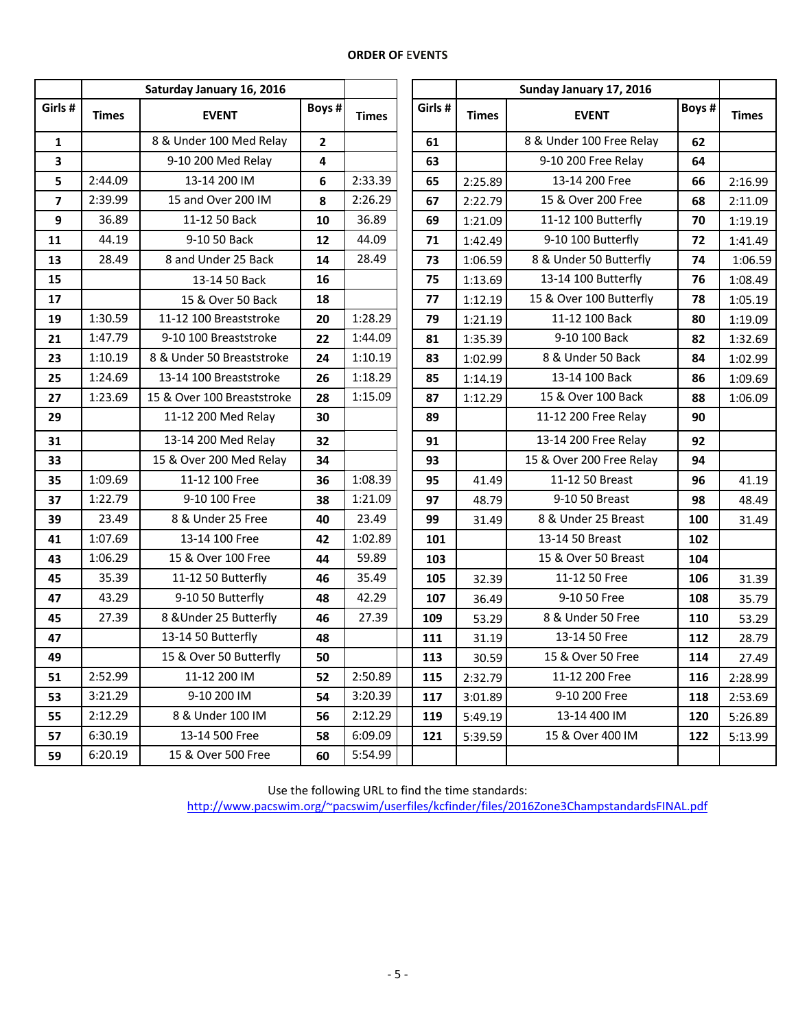## **ORDER OF** E**VENTS**

|                         | Saturday January 16, 2016 |                            |              |              |         |              | Sunday January 17, 2016        |     |         |
|-------------------------|---------------------------|----------------------------|--------------|--------------|---------|--------------|--------------------------------|-----|---------|
| Girls #                 | <b>Times</b>              | <b>EVENT</b>               | Boys #       | <b>Times</b> | Girls # | <b>Times</b> | Boys #<br><b>EVENT</b>         |     |         |
| $\mathbf{1}$            |                           | 8 & Under 100 Med Relay    | $\mathbf{2}$ |              | 61      |              | 8 & Under 100 Free Relay<br>62 |     |         |
| $\overline{\mathbf{3}}$ |                           | 9-10 200 Med Relay         | 4            |              | 63      |              | 9-10 200 Free Relay            | 64  |         |
| 5                       | 2:44.09                   | 13-14 200 IM               | 6            | 2:33.39      | 65      | 2:25.89      | 13-14 200 Free                 | 66  | 2:16.99 |
| $\overline{7}$          | 2:39.99                   | 15 and Over 200 IM         | 8            | 2:26.29      | 67      | 2:22.79      | 15 & Over 200 Free             | 68  | 2:11.09 |
| 9                       | 36.89                     | 11-12 50 Back              | 10           | 36.89        | 69      | 1:21.09      | 11-12 100 Butterfly            | 70  | 1:19.19 |
| 11                      | 44.19                     | 9-10 50 Back               | 12           | 44.09        | 71      | 1:42.49      | 9-10 100 Butterfly             | 72  | 1:41.49 |
| 13                      | 28.49                     | 8 and Under 25 Back        | 14           | 28.49        | 73      | 1:06.59      | 8 & Under 50 Butterfly         | 74  | 1:06.59 |
| 15                      |                           | 13-14 50 Back              | 16           |              | 75      | 1:13.69      | 13-14 100 Butterfly            | 76  | 1:08.49 |
| 17                      |                           | 15 & Over 50 Back          | 18           |              | 77      | 1:12.19      | 15 & Over 100 Butterfly        | 78  | 1:05.19 |
| 19                      | 1:30.59                   | 11-12 100 Breaststroke     | 20           | 1:28.29      | 79      | 1:21.19      | 11-12 100 Back                 | 80  | 1:19.09 |
| 21                      | 1:47.79                   | 9-10 100 Breaststroke      | 22           | 1:44.09      | 81      | 1:35.39      | 9-10 100 Back                  | 82  | 1:32.69 |
| 23                      | 1:10.19                   | 8 & Under 50 Breaststroke  | 24           | 1:10.19      | 83      | 1:02.99      | 8 & Under 50 Back              | 84  | 1:02.99 |
| 25                      | 1:24.69                   | 13-14 100 Breaststroke     | 26           | 1:18.29      | 85      | 1:14.19      | 13-14 100 Back                 | 86  | 1:09.69 |
| 27                      | 1:23.69                   | 15 & Over 100 Breaststroke | 28           | 1:15.09      | 87      | 1:12.29      | 15 & Over 100 Back             | 88  | 1:06.09 |
| 29                      |                           | 11-12 200 Med Relay        | 30           |              | 89      |              | 11-12 200 Free Relay           | 90  |         |
| 31                      |                           | 13-14 200 Med Relay        | 32           |              | 91      |              | 13-14 200 Free Relay           | 92  |         |
| 33                      |                           | 15 & Over 200 Med Relay    | 34           |              | 93      |              | 15 & Over 200 Free Relay       | 94  |         |
| 35                      | 1:09.69                   | 11-12 100 Free             | 36           | 1:08.39      | 95      | 41.49        | 11-12 50 Breast                | 96  | 41.19   |
| 37                      | 1:22.79                   | 9-10 100 Free              | 38           | 1:21.09      | 97      | 48.79        | 9-10 50 Breast                 | 98  | 48.49   |
| 39                      | 23.49                     | 8 & Under 25 Free          | 40           | 23.49        | 99      | 31.49        | 8 & Under 25 Breast            | 100 | 31.49   |
| 41                      | 1:07.69                   | 13-14 100 Free             | 42           | 1:02.89      | 101     |              | 13-14 50 Breast                | 102 |         |
| 43                      | 1:06.29                   | 15 & Over 100 Free         | 44           | 59.89        | 103     |              | 15 & Over 50 Breast            | 104 |         |
| 45                      | 35.39                     | 11-12 50 Butterfly         | 46           | 35.49        | 105     | 32.39        | 11-12 50 Free                  | 106 | 31.39   |
| 47                      | 43.29                     | 9-10 50 Butterfly          | 48           | 42.29        | 107     | 36.49        | 9-10 50 Free                   | 108 | 35.79   |
| 45                      | 27.39                     | 8 & Under 25 Butterfly     | 46           | 27.39        | 109     | 53.29        | 8 & Under 50 Free              | 110 | 53.29   |
| 47                      |                           | 13-14 50 Butterfly         | 48           |              | 111     | 31.19        | 13-14 50 Free                  | 112 | 28.79   |
| 49                      |                           | 15 & Over 50 Butterfly     | 50           |              | 113     | 30.59        | 15 & Over 50 Free              | 114 | 27.49   |
| 51                      | 2:52.99                   | 11-12 200 IM               | 52           | 2:50.89      | 115     | 2:32.79      | 11-12 200 Free                 | 116 | 2:28.99 |
| 53                      | 3:21.29                   | 9-10 200 IM                | 54           | 3:20.39      | 117     | 3:01.89      | 9-10 200 Free                  | 118 | 2:53.69 |
| 55                      | 2:12.29                   | 8 & Under 100 IM           | 56           | 2:12.29      | 119     | 5:49.19      | 13-14 400 IM                   | 120 | 5:26.89 |
| 57                      | 6:30.19                   | 13-14 500 Free             | 58           | 6:09.09      | 121     | 5:39.59      | 15 & Over 400 IM               | 122 | 5:13.99 |
| 59                      | 6:20.19                   | 15 & Over 500 Free         | 60           | 5:54.99      |         |              |                                |     |         |

Use the following URL to find the time standards:

<http://www.pacswim.org/~pacswim/userfiles/kcfinder/files/2016Zone3ChampstandardsFINAL.pdf>